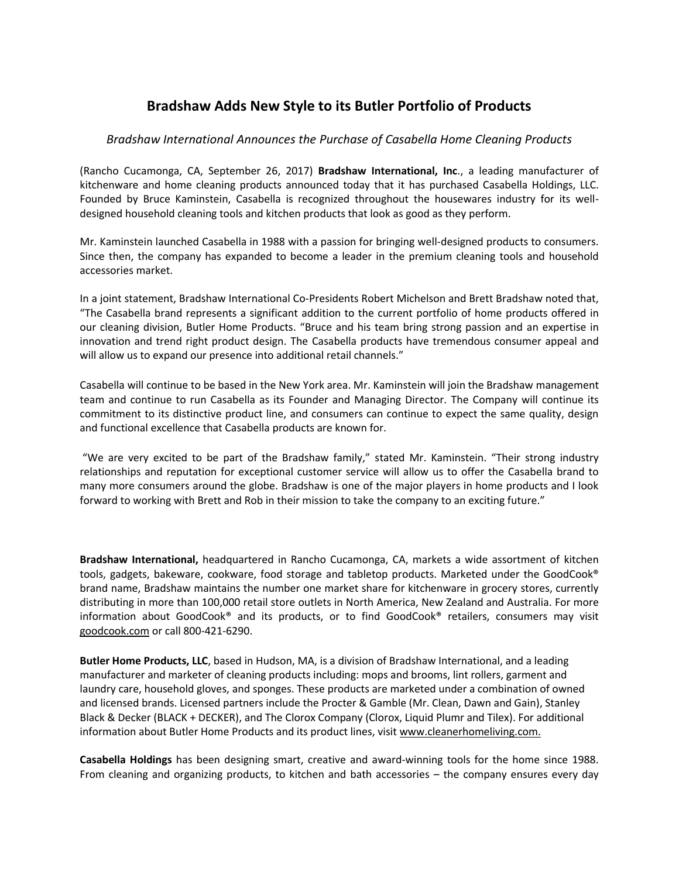## **Bradshaw Adds New Style to its Butler Portfolio of Products**

## *Bradshaw International Announces the Purchase of Casabella Home Cleaning Products*

(Rancho Cucamonga, CA, September 26, 2017) **Bradshaw International, Inc**., a leading manufacturer of kitchenware and home cleaning products announced today that it has purchased Casabella Holdings, LLC. Founded by Bruce Kaminstein, Casabella is recognized throughout the housewares industry for its welldesigned household cleaning tools and kitchen products that look as good as they perform.

Mr. Kaminstein launched Casabella in 1988 with a passion for bringing well-designed products to consumers. Since then, the company has expanded to become a leader in the premium cleaning tools and household accessories market.

In a joint statement, Bradshaw International Co-Presidents Robert Michelson and Brett Bradshaw noted that, "The Casabella brand represents a significant addition to the current portfolio of home products offered in our cleaning division, Butler Home Products. "Bruce and his team bring strong passion and an expertise in innovation and trend right product design. The Casabella products have tremendous consumer appeal and will allow us to expand our presence into additional retail channels."

Casabella will continue to be based in the New York area. Mr. Kaminstein will join the Bradshaw management team and continue to run Casabella as its Founder and Managing Director. The Company will continue its commitment to its distinctive product line, and consumers can continue to expect the same quality, design and functional excellence that Casabella products are known for.

"We are very excited to be part of the Bradshaw family," stated Mr. Kaminstein. "Their strong industry relationships and reputation for exceptional customer service will allow us to offer the Casabella brand to many more consumers around the globe. Bradshaw is one of the major players in home products and I look forward to working with Brett and Rob in their mission to take the company to an exciting future."

**Bradshaw International,** headquartered in Rancho Cucamonga, CA, markets a wide assortment of kitchen tools, gadgets, bakeware, cookware, food storage and tabletop products. Marketed under the GoodCook® brand name, Bradshaw maintains the number one market share for kitchenware in grocery stores, currently distributing in more than 100,000 retail store outlets in North America, New Zealand and Australia. For more information about GoodCook® and its products, or to find GoodCook® retailers, consumers may visit [goodcook.com](http://www.goodcook.com/) or call 800-421-6290.

**Butler Home Products, LLC**, based in Hudson, MA, is a division of Bradshaw International, and a leading manufacturer and marketer of cleaning products including: mops and brooms, lint rollers, garment and laundry care, household gloves, and sponges. These products are marketed under a combination of owned and licensed brands. Licensed partners include the Procter & Gamble (Mr. Clean, Dawn and Gain), Stanley Black & Decker (BLACK + DECKER), and The Clorox Company (Clorox, Liquid Plumr and Tilex). For additional information about Butler Home Products and its product lines, visi[t www.cleanerhomeliving.com.](http://www.cleanerhomeliving.com/)

**Casabella Holdings** has been designing smart, creative and award-winning tools for the home since 1988. From cleaning and organizing products, to kitchen and bath accessories – the company ensures every day